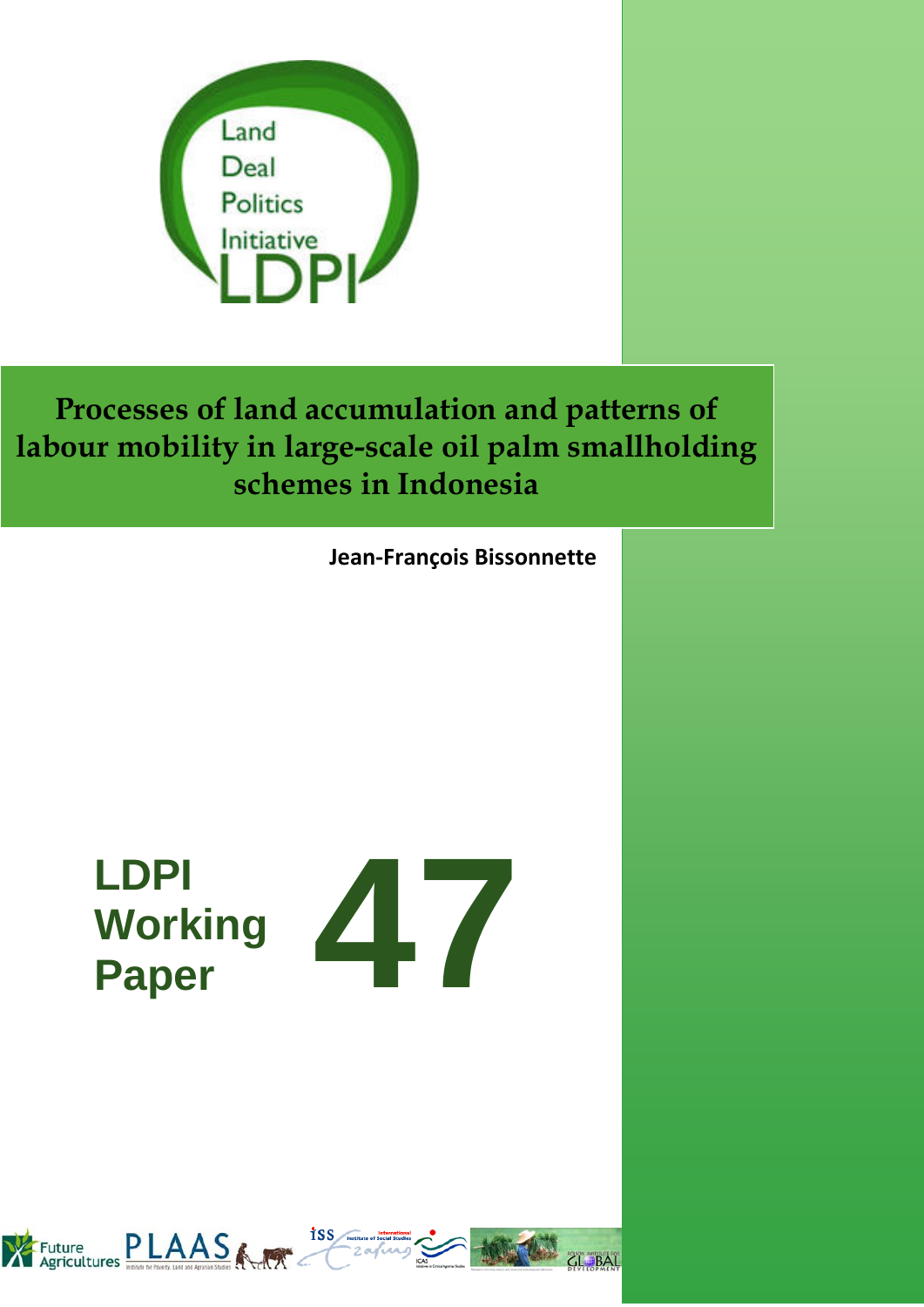

**Jean-François Bissonnette**

# **LDPI Working**



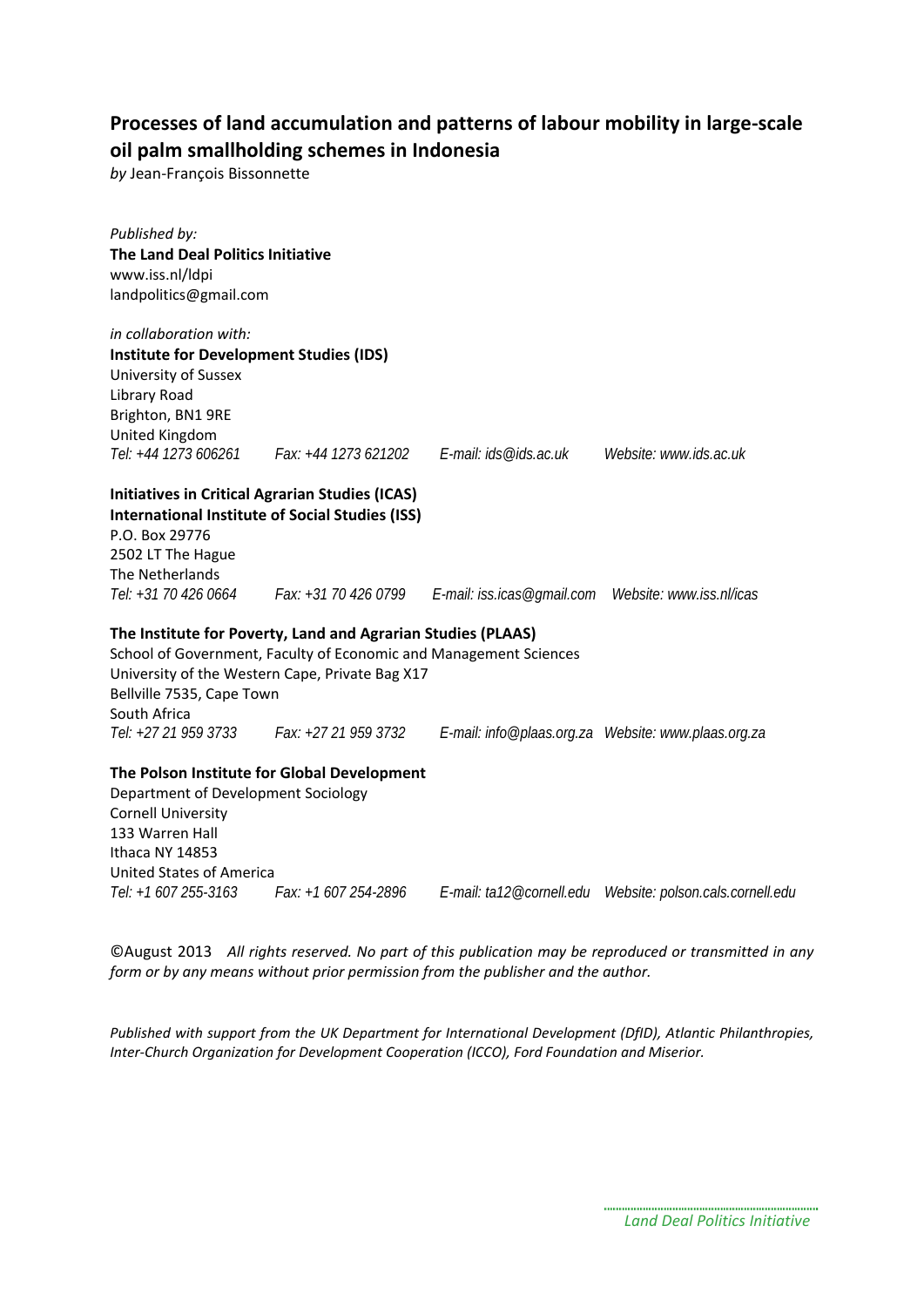*by* Jean-François Bissonnette

| Published by:                                  |                                                                   |                                                                                               |                                  |
|------------------------------------------------|-------------------------------------------------------------------|-----------------------------------------------------------------------------------------------|----------------------------------|
| The Land Deal Politics Initiative              |                                                                   |                                                                                               |                                  |
| www.iss.nl/ldpi                                |                                                                   |                                                                                               |                                  |
| landpolitics@gmail.com                         |                                                                   |                                                                                               |                                  |
| in collaboration with:                         |                                                                   |                                                                                               |                                  |
| <b>Institute for Development Studies (IDS)</b> |                                                                   |                                                                                               |                                  |
| University of Sussex                           |                                                                   |                                                                                               |                                  |
| Library Road                                   |                                                                   |                                                                                               |                                  |
| Brighton, BN1 9RE                              |                                                                   |                                                                                               |                                  |
| United Kingdom                                 |                                                                   |                                                                                               |                                  |
|                                                | Tel: +44 1273 606261 Fax: +44 1273 621202 E-mail: ids@ids.ac.uk   |                                                                                               | Website: www.ids.ac.uk           |
|                                                | <b>Initiatives in Critical Agrarian Studies (ICAS)</b>            |                                                                                               |                                  |
|                                                | <b>International Institute of Social Studies (ISS)</b>            |                                                                                               |                                  |
| P.O. Box 29776                                 |                                                                   |                                                                                               |                                  |
| 2502 LT The Hague                              |                                                                   |                                                                                               |                                  |
| The Netherlands                                |                                                                   |                                                                                               |                                  |
|                                                |                                                                   | Tel: +31 70 426 0664 Fax: +31 70 426 0799 E-mail: iss.icas@gmail.com Website: www.iss.nl/icas |                                  |
|                                                | The Institute for Poverty, Land and Agrarian Studies (PLAAS)      |                                                                                               |                                  |
|                                                | School of Government, Faculty of Economic and Management Sciences |                                                                                               |                                  |
|                                                | University of the Western Cape, Private Bag X17                   |                                                                                               |                                  |
| Bellville 7535, Cape Town                      |                                                                   |                                                                                               |                                  |
| South Africa                                   |                                                                   |                                                                                               |                                  |
|                                                | Tel: +27 21 959 3733 Fax: +27 21 959 3732                         |                                                                                               |                                  |
|                                                | The Polson Institute for Global Development                       |                                                                                               |                                  |
| Department of Development Sociology            |                                                                   |                                                                                               |                                  |
| <b>Cornell University</b>                      |                                                                   |                                                                                               |                                  |
| 133 Warren Hall                                |                                                                   |                                                                                               |                                  |
| Ithaca NY 14853                                |                                                                   |                                                                                               |                                  |
| <b>United States of America</b>                |                                                                   |                                                                                               |                                  |
| Tel: +1 607 255-3163                           | Fax: +1 607 254-2896                                              | E-mail: ta12@cornell.edu                                                                      | Website: polson.cals.cornell.edu |

©August 2013 *All rights reserved. No part of this publication may be reproduced or transmitted in any form or by any means without prior permission from the publisher and the author.*

*Published with support from the UK Department for International Development (DfID), Atlantic Philanthropies, Inter-Church Organization for Development Cooperation (ICCO), Ford Foundation and Miserior.*

> *Land Deal Politics Initiative*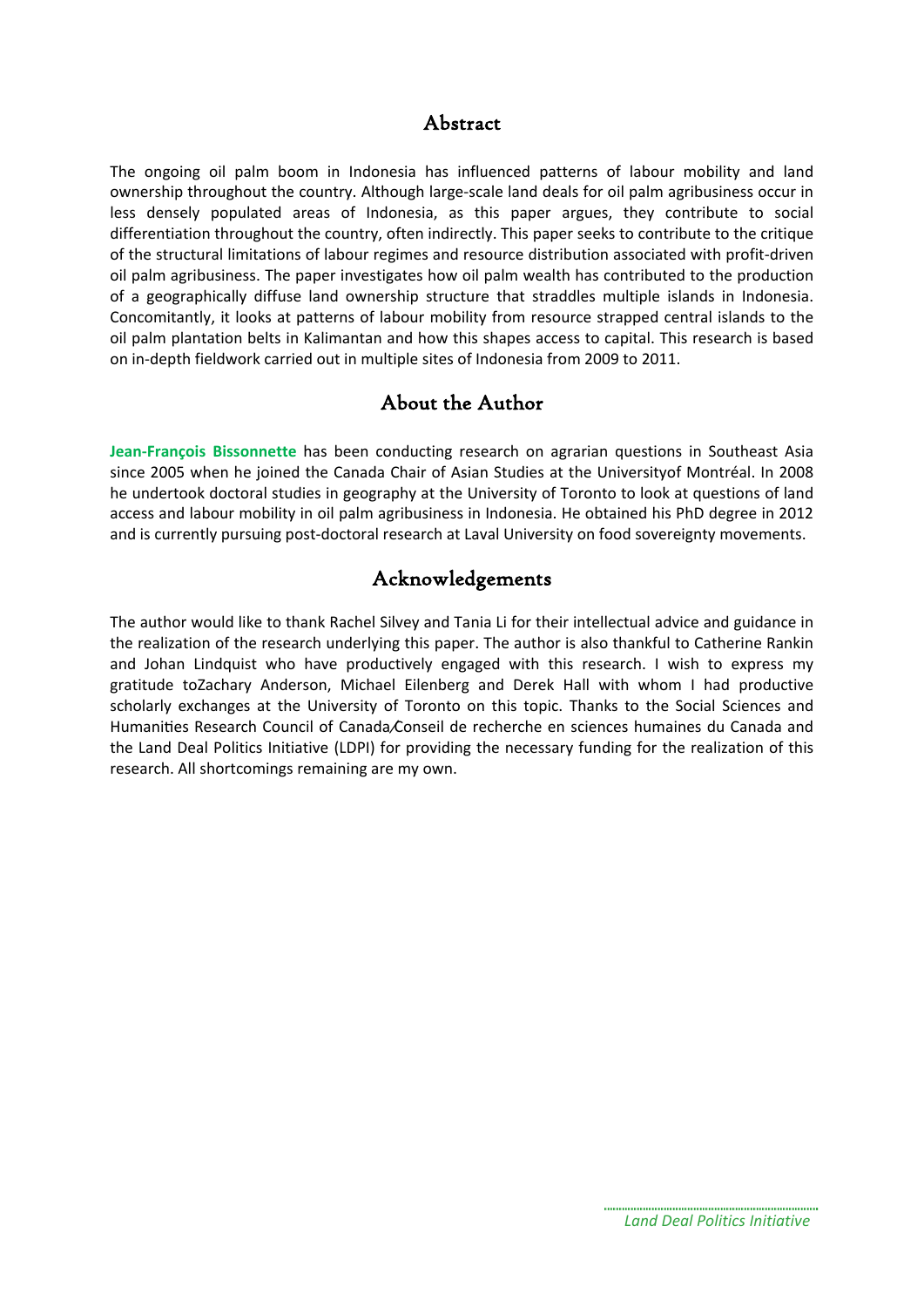## Abstract

The ongoing oil palm boom in Indonesia has influenced patterns of labour mobility and land ownership throughout the country. Although large-scale land deals for oil palm agribusiness occur in less densely populated areas of Indonesia, as this paper argues, they contribute to social differentiation throughout the country, often indirectly. This paper seeks to contribute to the critique of the structural limitations of labour regimes and resource distribution associated with profit-driven oil palm agribusiness. The paper investigates how oil palm wealth has contributed to the production of a geographically diffuse land ownership structure that straddles multiple islands in Indonesia. Concomitantly, it looks at patterns of labour mobility from resource strapped central islands to the oil palm plantation belts in Kalimantan and how this shapes access to capital. This research is based on in-depth fieldwork carried out in multiple sites of Indonesia from 2009 to 2011.

## About the Author

**Jean-François Bissonnette** has been conducting research on agrarian questions in Southeast Asia since 2005 when he joined the Canada Chair of Asian Studies at the Universityof Montréal. In 2008 he undertook doctoral studies in geography at the University of Toronto to look at questions of land access and labour mobility in oil palm agribusiness in Indonesia. He obtained his PhD degree in 2012 and is currently pursuing post-doctoral research at Laval University on food sovereignty movements.

## Acknowledgements

The author would like to thank Rachel Silvey and Tania Li for their intellectual advice and guidance in the realization of the research underlying this paper. The author is also thankful to Catherine Rankin and Johan Lindquist who have productively engaged with this research. I wish to express my gratitude toZachary Anderson, Michael Eilenberg and Derek Hall with whom I had productive scholarly exchanges at the University of Toronto on this topic. Thanks to the Social Sciences and Humanities Research Council of Canada Conseil de recherche en sciences humaines du Canada and the Land Deal Politics Initiative (LDPI) for providing the necessary funding for the realization of this research. All shortcomings remaining are my own.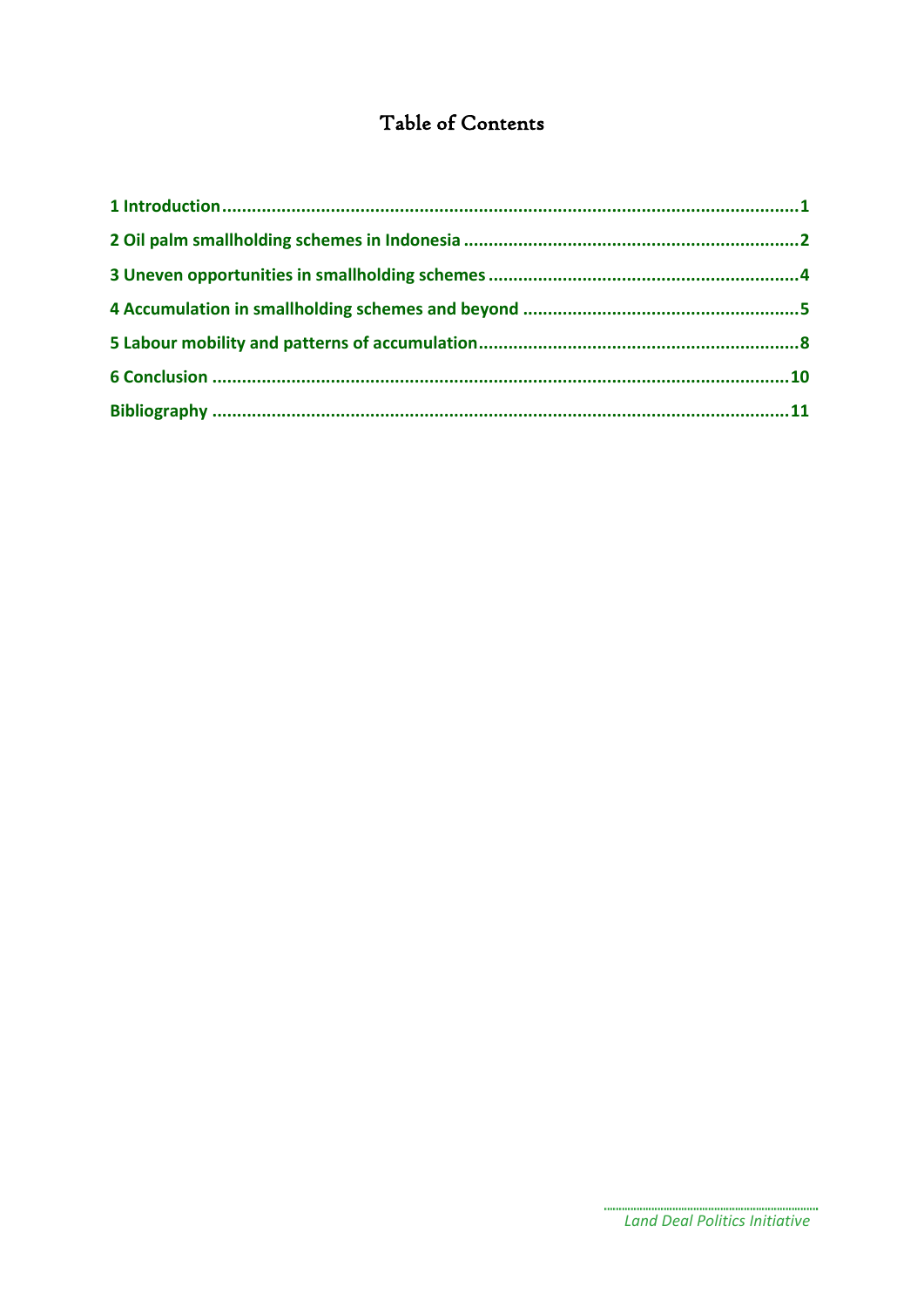## Table of Contents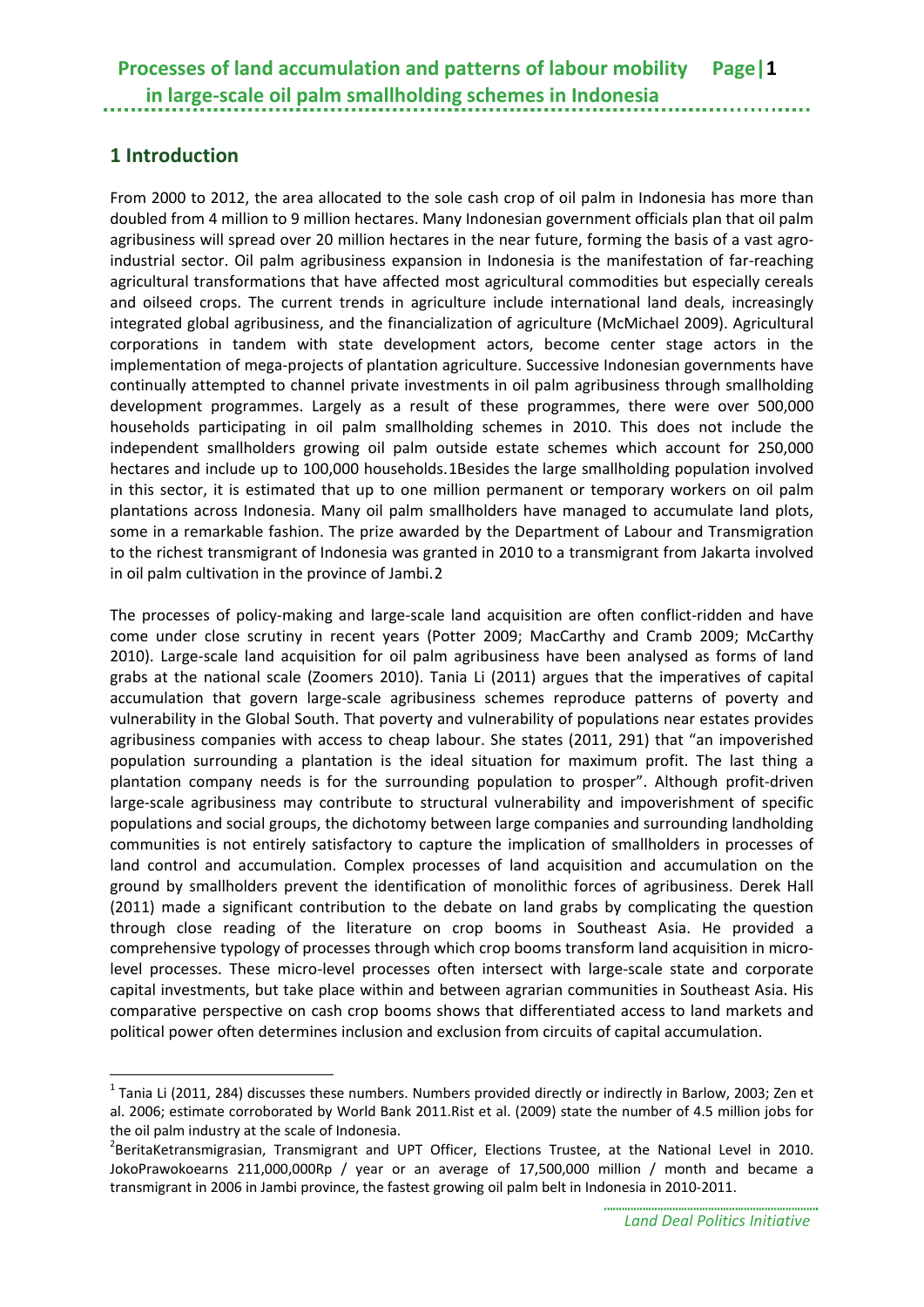## <span id="page-4-0"></span>**1 Introduction**

From 2000 to 2012, the area allocated to the sole cash crop of oil palm in Indonesia has more than doubled from 4 million to 9 million hectares. Many Indonesian government officials plan that oil palm agribusiness will spread over 20 million hectares in the near future, forming the basis of a vast agroindustrial sector. Oil palm agribusiness expansion in Indonesia is the manifestation of far-reaching agricultural transformations that have affected most agricultural commodities but especially cereals and oilseed crops. The current trends in agriculture include international land deals, increasingly integrated global agribusiness, and the financialization of agriculture (McMichael 2009). Agricultural corporations in tandem with state development actors, become center stage actors in the implementation of mega-projects of plantation agriculture. Successive Indonesian governments have continually attempted to channel private investments in oil palm agribusiness through smallholding development programmes. Largely as a result of these programmes, there were over 500,000 households participating in oil palm smallholding schemes in 2010. This does not include the independent smallholders growing oil palm outside estate schemes which account for 250,000 hectares and include up to 100,000 households.[1B](#page-4-1)esides the large smallholding population involved in this sector, it is estimated that up to one million permanent or temporary workers on oil palm plantations across Indonesia. Many oil palm smallholders have managed to accumulate land plots, some in a remarkable fashion. The prize awarded by the Department of Labour and Transmigration to the richest transmigrant of Indonesia was granted in 2010 to a transmigrant from Jakarta involved in oil palm cultivation in the province of Jambi.[2](#page-4-2)

The processes of policy-making and large-scale land acquisition are often conflict-ridden and have come under close scrutiny in recent years (Potter 2009; MacCarthy and Cramb 2009; McCarthy 2010). Large-scale land acquisition for oil palm agribusiness have been analysed as forms of land grabs at the national scale (Zoomers 2010). Tania Li (2011) argues that the imperatives of capital accumulation that govern large-scale agribusiness schemes reproduce patterns of poverty and vulnerability in the Global South. That poverty and vulnerability of populations near estates provides agribusiness companies with access to cheap labour. She states (2011, 291) that "an impoverished population surrounding a plantation is the ideal situation for maximum profit. The last thing a plantation company needs is for the surrounding population to prosper". Although profit-driven large-scale agribusiness may contribute to structural vulnerability and impoverishment of specific populations and social groups, the dichotomy between large companies and surrounding landholding communities is not entirely satisfactory to capture the implication of smallholders in processes of land control and accumulation. Complex processes of land acquisition and accumulation on the ground by smallholders prevent the identification of monolithic forces of agribusiness. Derek Hall (2011) made a significant contribution to the debate on land grabs by complicating the question through close reading of the literature on crop booms in Southeast Asia. He provided a comprehensive typology of processes through which crop booms transform land acquisition in microlevel processes. These micro-level processes often intersect with large-scale state and corporate capital investments, but take place within and between agrarian communities in Southeast Asia. His comparative perspective on cash crop booms shows that differentiated access to land markets and political power often determines inclusion and exclusion from circuits of capital accumulation.

<span id="page-4-1"></span> $1$  Tania Li (2011, 284) discusses these numbers. Numbers provided directly or indirectly in Barlow, 2003; Zen et al. 2006; estimate corroborated by World Bank 2011.Rist et al. (2009) state the number of 4.5 million jobs for the oil palm industry at the scale of Indonesia. <sup>2</sup> <u>.</u>

<span id="page-4-2"></span><sup>&</sup>lt;sup>2</sup>BeritaKetransmigrasian, Transmigrant and UPT Officer, Elections Trustee, at the National Level in 2010. JokoPrawokoearns 211,000,000Rp / year or an average of 17,500,000 million / month and became a transmigrant in 2006 in Jambi province, the fastest growing oil palm belt in Indonesia in 2010-2011.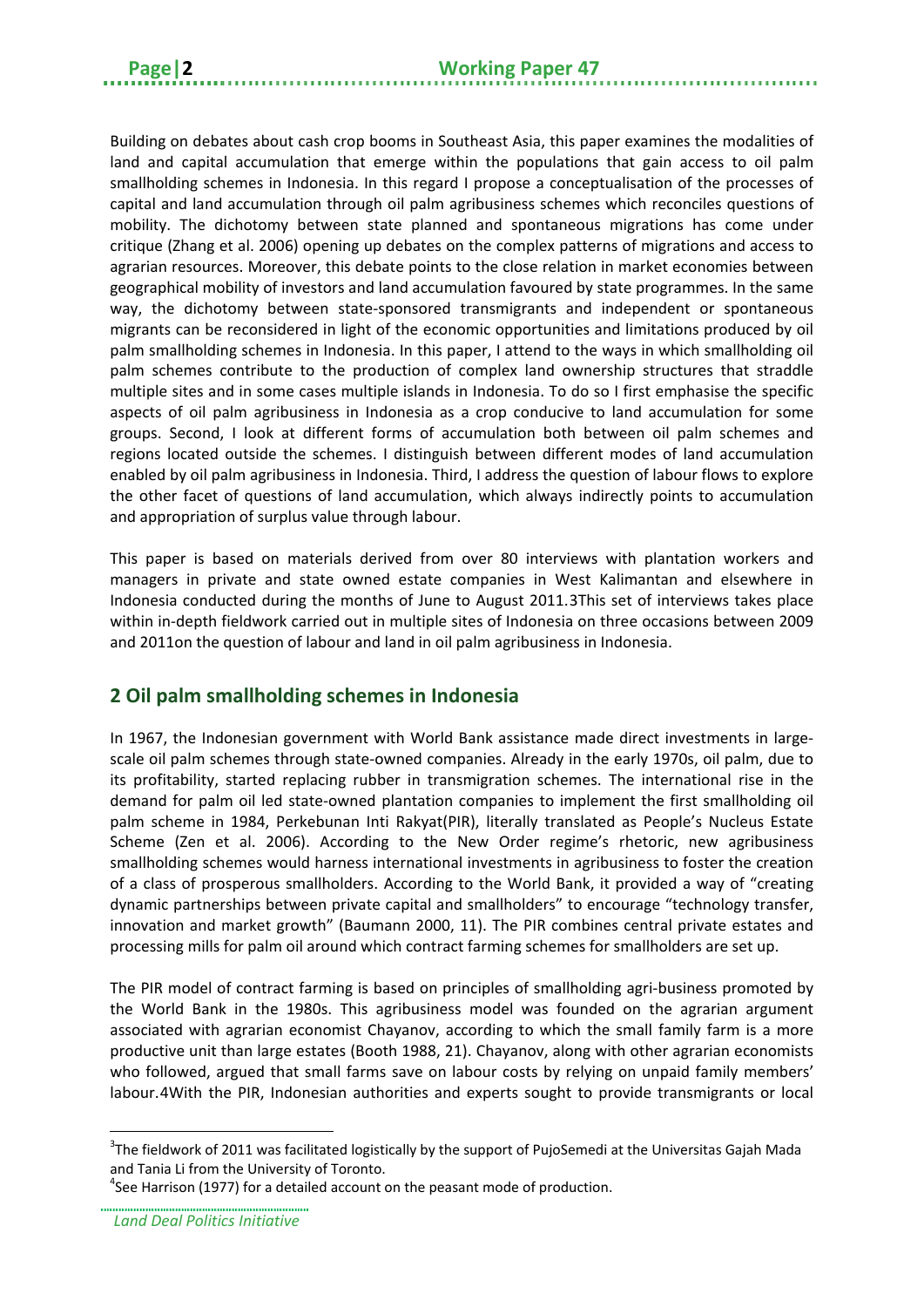Building on debates about cash crop booms in Southeast Asia, this paper examines the modalities of land and capital accumulation that emerge within the populations that gain access to oil palm smallholding schemes in Indonesia. In this regard I propose a conceptualisation of the processes of capital and land accumulation through oil palm agribusiness schemes which reconciles questions of mobility. The dichotomy between state planned and spontaneous migrations has come under critique (Zhang et al. 2006) opening up debates on the complex patterns of migrations and access to agrarian resources. Moreover, this debate points to the close relation in market economies between geographical mobility of investors and land accumulation favoured by state programmes. In the same way, the dichotomy between state-sponsored transmigrants and independent or spontaneous migrants can be reconsidered in light of the economic opportunities and limitations produced by oil palm smallholding schemes in Indonesia. In this paper, I attend to the ways in which smallholding oil palm schemes contribute to the production of complex land ownership structures that straddle multiple sites and in some cases multiple islands in Indonesia. To do so I first emphasise the specific aspects of oil palm agribusiness in Indonesia as a crop conducive to land accumulation for some groups. Second, I look at different forms of accumulation both between oil palm schemes and regions located outside the schemes. I distinguish between different modes of land accumulation enabled by oil palm agribusiness in Indonesia. Third, I address the question of labour flows to explore the other facet of questions of land accumulation, which always indirectly points to accumulation and appropriation of surplus value through labour.

This paper is based on materials derived from over 80 interviews with plantation workers and managers in private and state owned estate companies in West Kalimantan and elsewhere in Indonesia conducted during the months of June to August 2011.[3T](#page-5-1)his set of interviews takes place within in-depth fieldwork carried out in multiple sites of Indonesia on three occasions between 2009 and 2011on the question of labour and land in oil palm agribusiness in Indonesia.

## <span id="page-5-0"></span>**2 Oil palm smallholding schemes in Indonesia**

In 1967, the Indonesian government with World Bank assistance made direct investments in largescale oil palm schemes through state-owned companies. Already in the early 1970s, oil palm, due to its profitability, started replacing rubber in transmigration schemes. The international rise in the demand for palm oil led state-owned plantation companies to implement the first smallholding oil palm scheme in 1984, Perkebunan Inti Rakyat(PIR), literally translated as People's Nucleus Estate Scheme (Zen et al. 2006). According to the New Order regime's rhetoric, new agribusiness smallholding schemes would harness international investments in agribusiness to foster the creation of a class of prosperous smallholders. According to the World Bank, it provided a way of "creating dynamic partnerships between private capital and smallholders" to encourage "technology transfer, innovation and market growth" (Baumann 2000, 11). The PIR combines central private estates and processing mills for palm oil around which contract farming schemes for smallholders are set up.

The PIR model of contract farming is based on principles of smallholding agri-business promoted by the World Bank in the 1980s. This agribusiness model was founded on the agrarian argument associated with agrarian economist Chayanov, according to which the small family farm is a more productive unit than large estates (Booth 1988, 21). Chayanov, along with other agrarian economists who followed, argued that small farms save on labour costs by relying on unpaid family members' labour.[4W](#page-5-2)ith the PIR, Indonesian authorities and experts sought to provide transmigrants or local

<span id="page-5-1"></span><sup>&</sup>lt;sup>3</sup>The fieldwork of 2011 was facilitated logistically by the support of PujoSemedi at the Universitas Gajah Mada and Tania Li from the University of Toronto. -

<span id="page-5-2"></span> $4$ See Harrison (1977) for a detailed account on the peasant mode of production.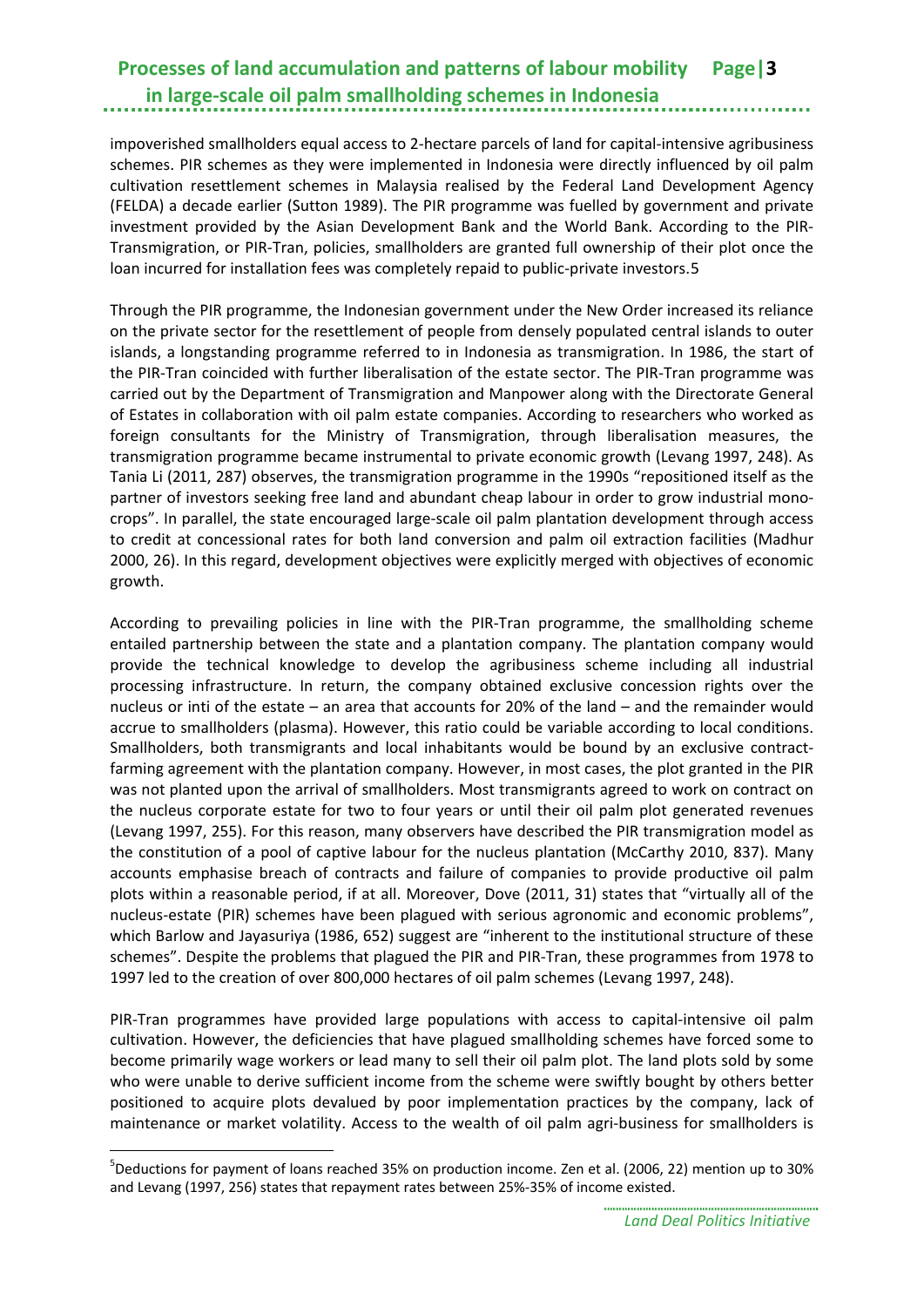impoverished smallholders equal access to 2-hectare parcels of land for capital-intensive agribusiness schemes. PIR schemes as they were implemented in Indonesia were directly influenced by oil palm cultivation resettlement schemes in Malaysia realised by the Federal Land Development Agency (FELDA) a decade earlier (Sutton 1989). The PIR programme was fuelled by government and private investment provided by the Asian Development Bank and the World Bank. According to the PIR-Transmigration, or PIR-Tran, policies, smallholders are granted full ownership of their plot once the loan incurred for installation fees was completely repaid to public-private investors.[5](#page-6-0)

Through the PIR programme, the Indonesian government under the New Order increased its reliance on the private sector for the resettlement of people from densely populated central islands to outer islands, a longstanding programme referred to in Indonesia as transmigration. In 1986, the start of the PIR-Tran coincided with further liberalisation of the estate sector. The PIR-Tran programme was carried out by the Department of Transmigration and Manpower along with the Directorate General of Estates in collaboration with oil palm estate companies. According to researchers who worked as foreign consultants for the Ministry of Transmigration, through liberalisation measures, the transmigration programme became instrumental to private economic growth (Levang 1997, 248). As Tania Li (2011, 287) observes, the transmigration programme in the 1990s "repositioned itself as the partner of investors seeking free land and abundant cheap labour in order to grow industrial monocrops". In parallel, the state encouraged large-scale oil palm plantation development through access to credit at concessional rates for both land conversion and palm oil extraction facilities (Madhur 2000, 26). In this regard, development objectives were explicitly merged with objectives of economic growth.

According to prevailing policies in line with the PIR-Tran programme, the smallholding scheme entailed partnership between the state and a plantation company. The plantation company would provide the technical knowledge to develop the agribusiness scheme including all industrial processing infrastructure. In return, the company obtained exclusive concession rights over the nucleus or inti of the estate – an area that accounts for 20% of the land – and the remainder would accrue to smallholders (plasma). However, this ratio could be variable according to local conditions. Smallholders, both transmigrants and local inhabitants would be bound by an exclusive contractfarming agreement with the plantation company. However, in most cases, the plot granted in the PIR was not planted upon the arrival of smallholders. Most transmigrants agreed to work on contract on the nucleus corporate estate for two to four years or until their oil palm plot generated revenues (Levang 1997, 255). For this reason, many observers have described the PIR transmigration model as the constitution of a pool of captive labour for the nucleus plantation (McCarthy 2010, 837). Many accounts emphasise breach of contracts and failure of companies to provide productive oil palm plots within a reasonable period, if at all. Moreover, Dove (2011, 31) states that "virtually all of the nucleus-estate (PIR) schemes have been plagued with serious agronomic and economic problems", which Barlow and Jayasuriya (1986, 652) suggest are "inherent to the institutional structure of these schemes". Despite the problems that plagued the PIR and PIR-Tran, these programmes from 1978 to 1997 led to the creation of over 800,000 hectares of oil palm schemes (Levang 1997, 248).

PIR-Tran programmes have provided large populations with access to capital-intensive oil palm cultivation. However, the deficiencies that have plagued smallholding schemes have forced some to become primarily wage workers or lead many to sell their oil palm plot. The land plots sold by some who were unable to derive sufficient income from the scheme were swiftly bought by others better positioned to acquire plots devalued by poor implementation practices by the company, lack of maintenance or market volatility. Access to the wealth of oil palm agri-business for smallholders is

<u>.</u>

<span id="page-6-0"></span><sup>5</sup> Deductions for payment of loans reached 35% on production income. Zen et al. (2006, 22) mention up to 30% and Levang (1997, 256) states that repayment rates between 25%-35% of income existed.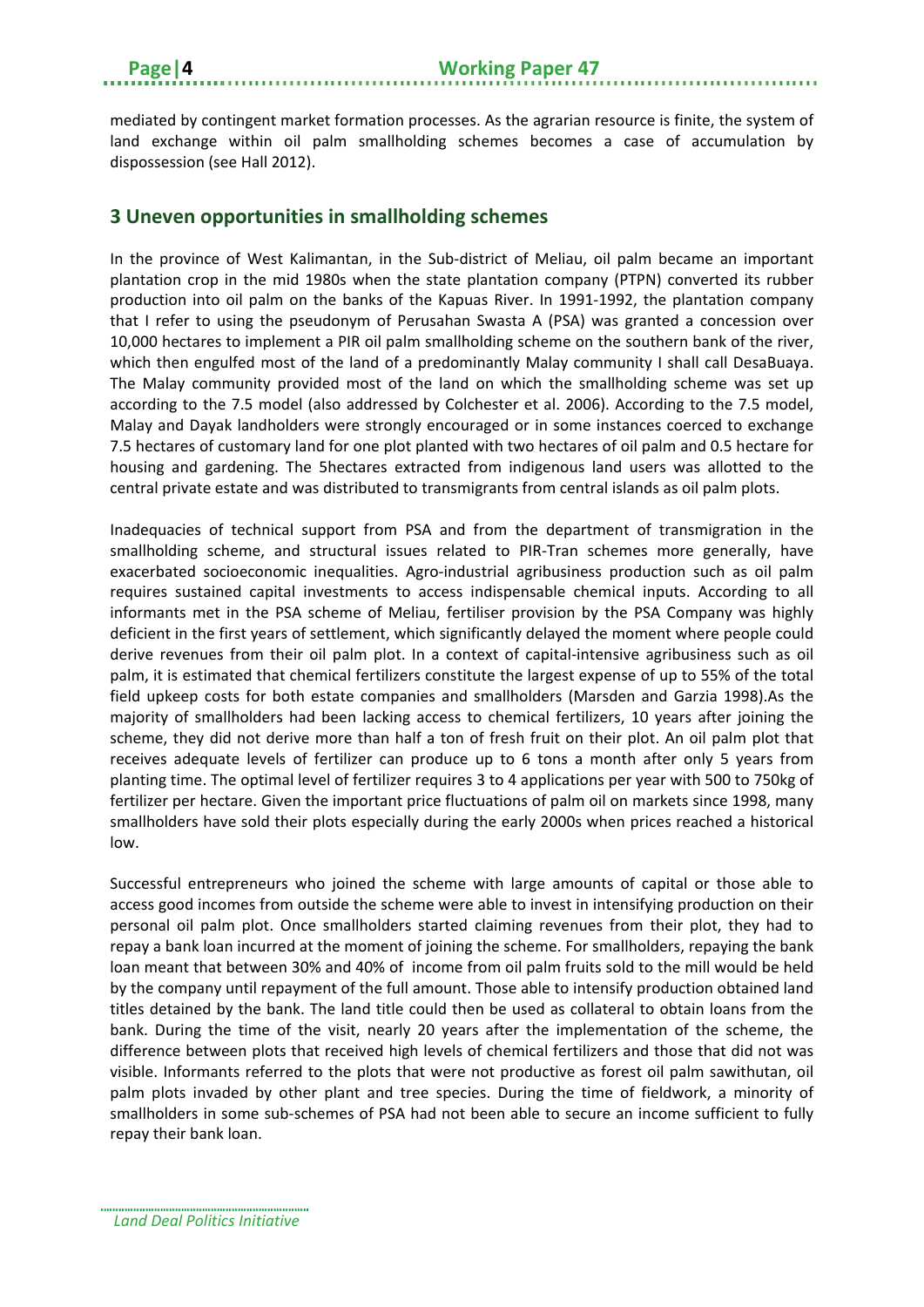mediated by contingent market formation processes. As the agrarian resource is finite, the system of land exchange within oil palm smallholding schemes becomes a case of accumulation by dispossession (see Hall 2012).

## <span id="page-7-0"></span>**3 Uneven opportunities in smallholding schemes**

In the province of West Kalimantan, in the Sub-district of Meliau, oil palm became an important plantation crop in the mid 1980s when the state plantation company (PTPN) converted its rubber production into oil palm on the banks of the Kapuas River. In 1991-1992, the plantation company that I refer to using the pseudonym of Perusahan Swasta A (PSA) was granted a concession over 10,000 hectares to implement a PIR oil palm smallholding scheme on the southern bank of the river, which then engulfed most of the land of a predominantly Malay community I shall call DesaBuaya. The Malay community provided most of the land on which the smallholding scheme was set up according to the 7.5 model (also addressed by Colchester et al. 2006). According to the 7.5 model, Malay and Dayak landholders were strongly encouraged or in some instances coerced to exchange 7.5 hectares of customary land for one plot planted with two hectares of oil palm and 0.5 hectare for housing and gardening. The 5hectares extracted from indigenous land users was allotted to the central private estate and was distributed to transmigrants from central islands as oil palm plots.

Inadequacies of technical support from PSA and from the department of transmigration in the smallholding scheme, and structural issues related to PIR-Tran schemes more generally, have exacerbated socioeconomic inequalities. Agro-industrial agribusiness production such as oil palm requires sustained capital investments to access indispensable chemical inputs. According to all informants met in the PSA scheme of Meliau, fertiliser provision by the PSA Company was highly deficient in the first years of settlement, which significantly delayed the moment where people could derive revenues from their oil palm plot. In a context of capital-intensive agribusiness such as oil palm, it is estimated that chemical fertilizers constitute the largest expense of up to 55% of the total field upkeep costs for both estate companies and smallholders (Marsden and Garzia 1998).As the majority of smallholders had been lacking access to chemical fertilizers, 10 years after joining the scheme, they did not derive more than half a ton of fresh fruit on their plot. An oil palm plot that receives adequate levels of fertilizer can produce up to 6 tons a month after only 5 years from planting time. The optimal level of fertilizer requires 3 to 4 applications per year with 500 to 750kg of fertilizer per hectare. Given the important price fluctuations of palm oil on markets since 1998, many smallholders have sold their plots especially during the early 2000s when prices reached a historical low.

Successful entrepreneurs who joined the scheme with large amounts of capital or those able to access good incomes from outside the scheme were able to invest in intensifying production on their personal oil palm plot. Once smallholders started claiming revenues from their plot, they had to repay a bank loan incurred at the moment of joining the scheme. For smallholders, repaying the bank loan meant that between 30% and 40% of income from oil palm fruits sold to the mill would be held by the company until repayment of the full amount. Those able to intensify production obtained land titles detained by the bank. The land title could then be used as collateral to obtain loans from the bank. During the time of the visit, nearly 20 years after the implementation of the scheme, the difference between plots that received high levels of chemical fertilizers and those that did not was visible. Informants referred to the plots that were not productive as forest oil palm sawithutan, oil palm plots invaded by other plant and tree species. During the time of fieldwork, a minority of smallholders in some sub-schemes of PSA had not been able to secure an income sufficient to fully repay their bank loan.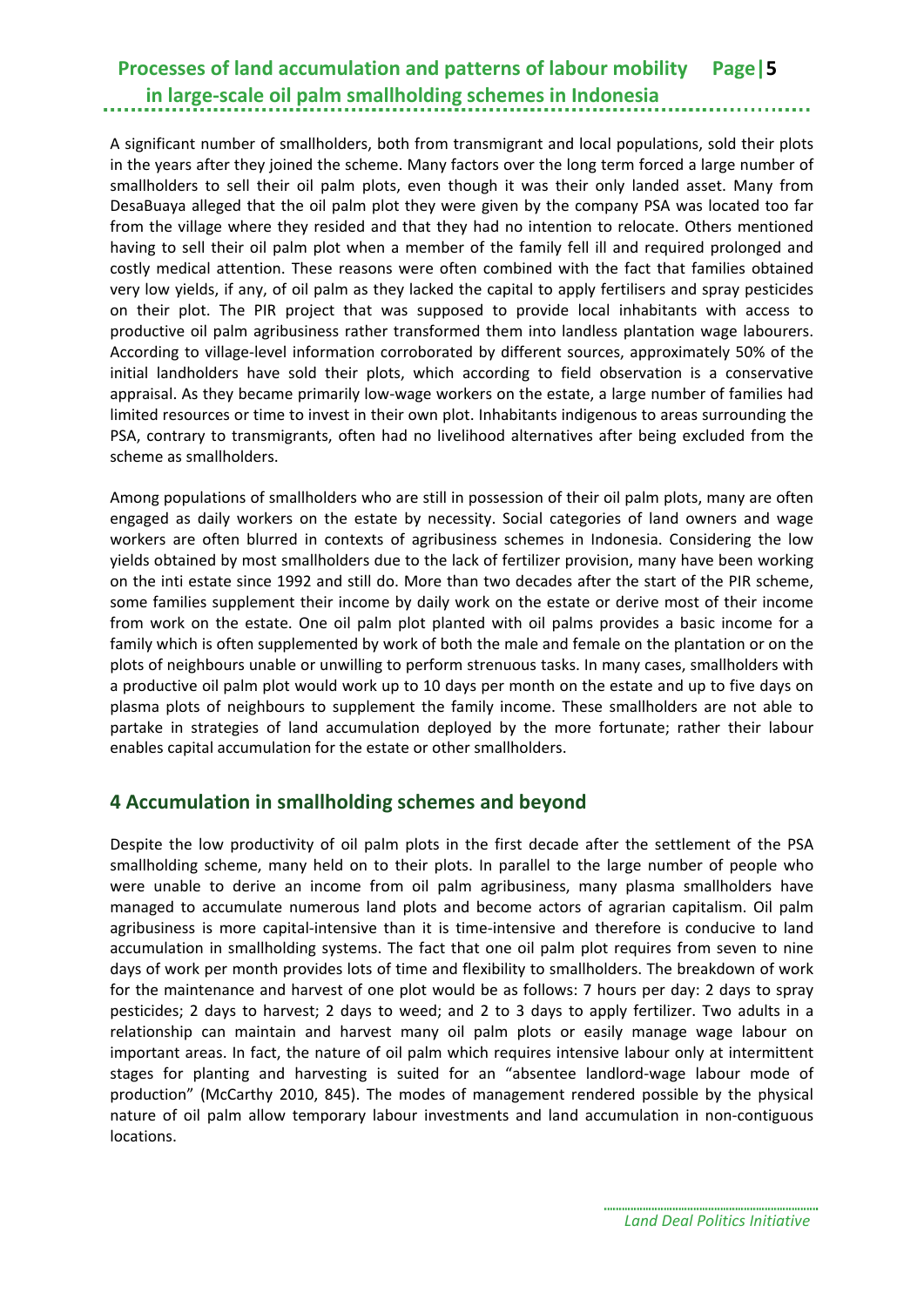A significant number of smallholders, both from transmigrant and local populations, sold their plots in the years after they joined the scheme. Many factors over the long term forced a large number of smallholders to sell their oil palm plots, even though it was their only landed asset. Many from DesaBuaya alleged that the oil palm plot they were given by the company PSA was located too far from the village where they resided and that they had no intention to relocate. Others mentioned having to sell their oil palm plot when a member of the family fell ill and required prolonged and costly medical attention. These reasons were often combined with the fact that families obtained very low yields, if any, of oil palm as they lacked the capital to apply fertilisers and spray pesticides on their plot. The PIR project that was supposed to provide local inhabitants with access to productive oil palm agribusiness rather transformed them into landless plantation wage labourers. According to village-level information corroborated by different sources, approximately 50% of the initial landholders have sold their plots, which according to field observation is a conservative appraisal. As they became primarily low-wage workers on the estate, a large number of families had limited resources or time to invest in their own plot. Inhabitants indigenous to areas surrounding the PSA, contrary to transmigrants, often had no livelihood alternatives after being excluded from the scheme as smallholders.

Among populations of smallholders who are still in possession of their oil palm plots, many are often engaged as daily workers on the estate by necessity. Social categories of land owners and wage workers are often blurred in contexts of agribusiness schemes in Indonesia. Considering the low yields obtained by most smallholders due to the lack of fertilizer provision, many have been working on the inti estate since 1992 and still do. More than two decades after the start of the PIR scheme, some families supplement their income by daily work on the estate or derive most of their income from work on the estate. One oil palm plot planted with oil palms provides a basic income for a family which is often supplemented by work of both the male and female on the plantation or on the plots of neighbours unable or unwilling to perform strenuous tasks. In many cases, smallholders with a productive oil palm plot would work up to 10 days per month on the estate and up to five days on plasma plots of neighbours to supplement the family income. These smallholders are not able to partake in strategies of land accumulation deployed by the more fortunate; rather their labour enables capital accumulation for the estate or other smallholders.

### <span id="page-8-0"></span>**4 Accumulation in smallholding schemes and beyond**

Despite the low productivity of oil palm plots in the first decade after the settlement of the PSA smallholding scheme, many held on to their plots. In parallel to the large number of people who were unable to derive an income from oil palm agribusiness, many plasma smallholders have managed to accumulate numerous land plots and become actors of agrarian capitalism. Oil palm agribusiness is more capital-intensive than it is time-intensive and therefore is conducive to land accumulation in smallholding systems. The fact that one oil palm plot requires from seven to nine days of work per month provides lots of time and flexibility to smallholders. The breakdown of work for the maintenance and harvest of one plot would be as follows: 7 hours per day: 2 days to spray pesticides; 2 days to harvest; 2 days to weed; and 2 to 3 days to apply fertilizer. Two adults in a relationship can maintain and harvest many oil palm plots or easily manage wage labour on important areas. In fact, the nature of oil palm which requires intensive labour only at intermittent stages for planting and harvesting is suited for an "absentee landlord-wage labour mode of production" (McCarthy 2010, 845). The modes of management rendered possible by the physical nature of oil palm allow temporary labour investments and land accumulation in non-contiguous locations.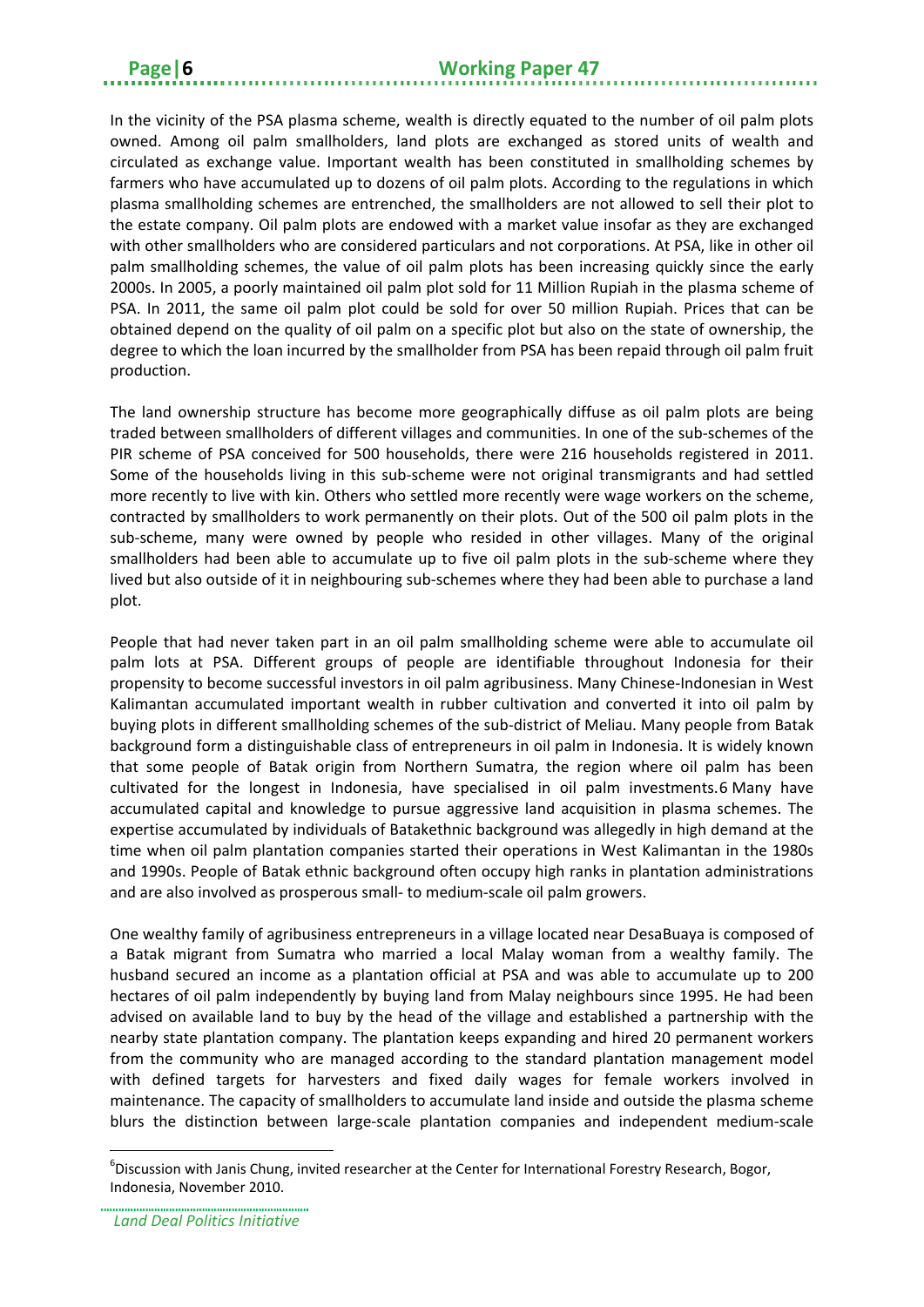In the vicinity of the PSA plasma scheme, wealth is directly equated to the number of oil palm plots owned. Among oil palm smallholders, land plots are exchanged as stored units of wealth and circulated as exchange value. Important wealth has been constituted in smallholding schemes by farmers who have accumulated up to dozens of oil palm plots. According to the regulations in which plasma smallholding schemes are entrenched, the smallholders are not allowed to sell their plot to the estate company. Oil palm plots are endowed with a market value insofar as they are exchanged with other smallholders who are considered particulars and not corporations. At PSA, like in other oil palm smallholding schemes, the value of oil palm plots has been increasing quickly since the early 2000s. In 2005, a poorly maintained oil palm plot sold for 11 Million Rupiah in the plasma scheme of PSA. In 2011, the same oil palm plot could be sold for over 50 million Rupiah. Prices that can be obtained depend on the quality of oil palm on a specific plot but also on the state of ownership, the degree to which the loan incurred by the smallholder from PSA has been repaid through oil palm fruit production.

The land ownership structure has become more geographically diffuse as oil palm plots are being traded between smallholders of different villages and communities. In one of the sub-schemes of the PIR scheme of PSA conceived for 500 households, there were 216 households registered in 2011. Some of the households living in this sub-scheme were not original transmigrants and had settled more recently to live with kin. Others who settled more recently were wage workers on the scheme, contracted by smallholders to work permanently on their plots. Out of the 500 oil palm plots in the sub-scheme, many were owned by people who resided in other villages. Many of the original smallholders had been able to accumulate up to five oil palm plots in the sub-scheme where they lived but also outside of it in neighbouring sub-schemes where they had been able to purchase a land plot.

People that had never taken part in an oil palm smallholding scheme were able to accumulate oil palm lots at PSA. Different groups of people are identifiable throughout Indonesia for their propensity to become successful investors in oil palm agribusiness. Many Chinese-Indonesian in West Kalimantan accumulated important wealth in rubber cultivation and converted it into oil palm by buying plots in different smallholding schemes of the sub-district of Meliau. Many people from Batak background form a distinguishable class of entrepreneurs in oil palm in Indonesia. It is widely known that some people of Batak origin from Northern Sumatra, the region where oil palm has been cultivated for the longest in Indonesia, have specialised in oil palm investments.[6](#page-9-0) Many have accumulated capital and knowledge to pursue aggressive land acquisition in plasma schemes. The expertise accumulated by individuals of Batakethnic background was allegedly in high demand at the time when oil palm plantation companies started their operations in West Kalimantan in the 1980s and 1990s. People of Batak ethnic background often occupy high ranks in plantation administrations and are also involved as prosperous small- to medium-scale oil palm growers.

One wealthy family of agribusiness entrepreneurs in a village located near DesaBuaya is composed of a Batak migrant from Sumatra who married a local Malay woman from a wealthy family. The husband secured an income as a plantation official at PSA and was able to accumulate up to 200 hectares of oil palm independently by buying land from Malay neighbours since 1995. He had been advised on available land to buy by the head of the village and established a partnership with the nearby state plantation company. The plantation keeps expanding and hired 20 permanent workers from the community who are managed according to the standard plantation management model with defined targets for harvesters and fixed daily wages for female workers involved in maintenance. The capacity of smallholders to accumulate land inside and outside the plasma scheme blurs the distinction between large-scale plantation companies and independent medium-scale

<u>.</u>

<span id="page-9-0"></span><sup>&</sup>lt;sup>6</sup>Discussion with Janis Chung, invited researcher at the Center for International Forestry Research, Bogor, Indonesia, November 2010.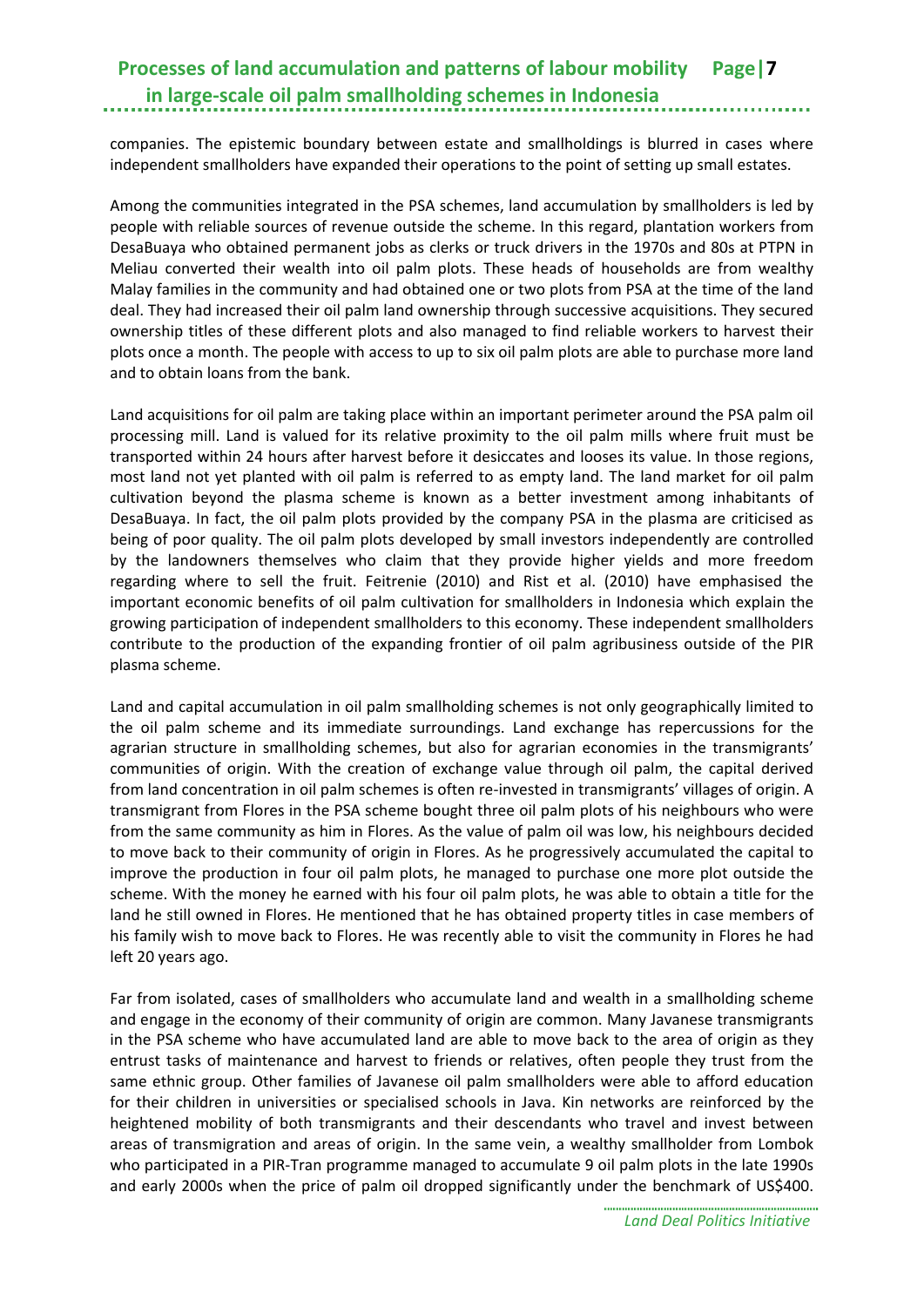companies. The epistemic boundary between estate and smallholdings is blurred in cases where independent smallholders have expanded their operations to the point of setting up small estates.

Among the communities integrated in the PSA schemes, land accumulation by smallholders is led by people with reliable sources of revenue outside the scheme. In this regard, plantation workers from DesaBuaya who obtained permanent jobs as clerks or truck drivers in the 1970s and 80s at PTPN in Meliau converted their wealth into oil palm plots. These heads of households are from wealthy Malay families in the community and had obtained one or two plots from PSA at the time of the land deal. They had increased their oil palm land ownership through successive acquisitions. They secured ownership titles of these different plots and also managed to find reliable workers to harvest their plots once a month. The people with access to up to six oil palm plots are able to purchase more land and to obtain loans from the bank.

Land acquisitions for oil palm are taking place within an important perimeter around the PSA palm oil processing mill. Land is valued for its relative proximity to the oil palm mills where fruit must be transported within 24 hours after harvest before it desiccates and looses its value. In those regions, most land not yet planted with oil palm is referred to as empty land. The land market for oil palm cultivation beyond the plasma scheme is known as a better investment among inhabitants of DesaBuaya. In fact, the oil palm plots provided by the company PSA in the plasma are criticised as being of poor quality. The oil palm plots developed by small investors independently are controlled by the landowners themselves who claim that they provide higher yields and more freedom regarding where to sell the fruit. Feitrenie (2010) and Rist et al. (2010) have emphasised the important economic benefits of oil palm cultivation for smallholders in Indonesia which explain the growing participation of independent smallholders to this economy. These independent smallholders contribute to the production of the expanding frontier of oil palm agribusiness outside of the PIR plasma scheme.

Land and capital accumulation in oil palm smallholding schemes is not only geographically limited to the oil palm scheme and its immediate surroundings. Land exchange has repercussions for the agrarian structure in smallholding schemes, but also for agrarian economies in the transmigrants' communities of origin. With the creation of exchange value through oil palm, the capital derived from land concentration in oil palm schemes is often re-invested in transmigrants' villages of origin. A transmigrant from Flores in the PSA scheme bought three oil palm plots of his neighbours who were from the same community as him in Flores. As the value of palm oil was low, his neighbours decided to move back to their community of origin in Flores. As he progressively accumulated the capital to improve the production in four oil palm plots, he managed to purchase one more plot outside the scheme. With the money he earned with his four oil palm plots, he was able to obtain a title for the land he still owned in Flores. He mentioned that he has obtained property titles in case members of his family wish to move back to Flores. He was recently able to visit the community in Flores he had left 20 years ago.

Far from isolated, cases of smallholders who accumulate land and wealth in a smallholding scheme and engage in the economy of their community of origin are common. Many Javanese transmigrants in the PSA scheme who have accumulated land are able to move back to the area of origin as they entrust tasks of maintenance and harvest to friends or relatives, often people they trust from the same ethnic group. Other families of Javanese oil palm smallholders were able to afford education for their children in universities or specialised schools in Java. Kin networks are reinforced by the heightened mobility of both transmigrants and their descendants who travel and invest between areas of transmigration and areas of origin. In the same vein, a wealthy smallholder from Lombok who participated in a PIR-Tran programme managed to accumulate 9 oil palm plots in the late 1990s and early 2000s when the price of palm oil dropped significantly under the benchmark of US\$400.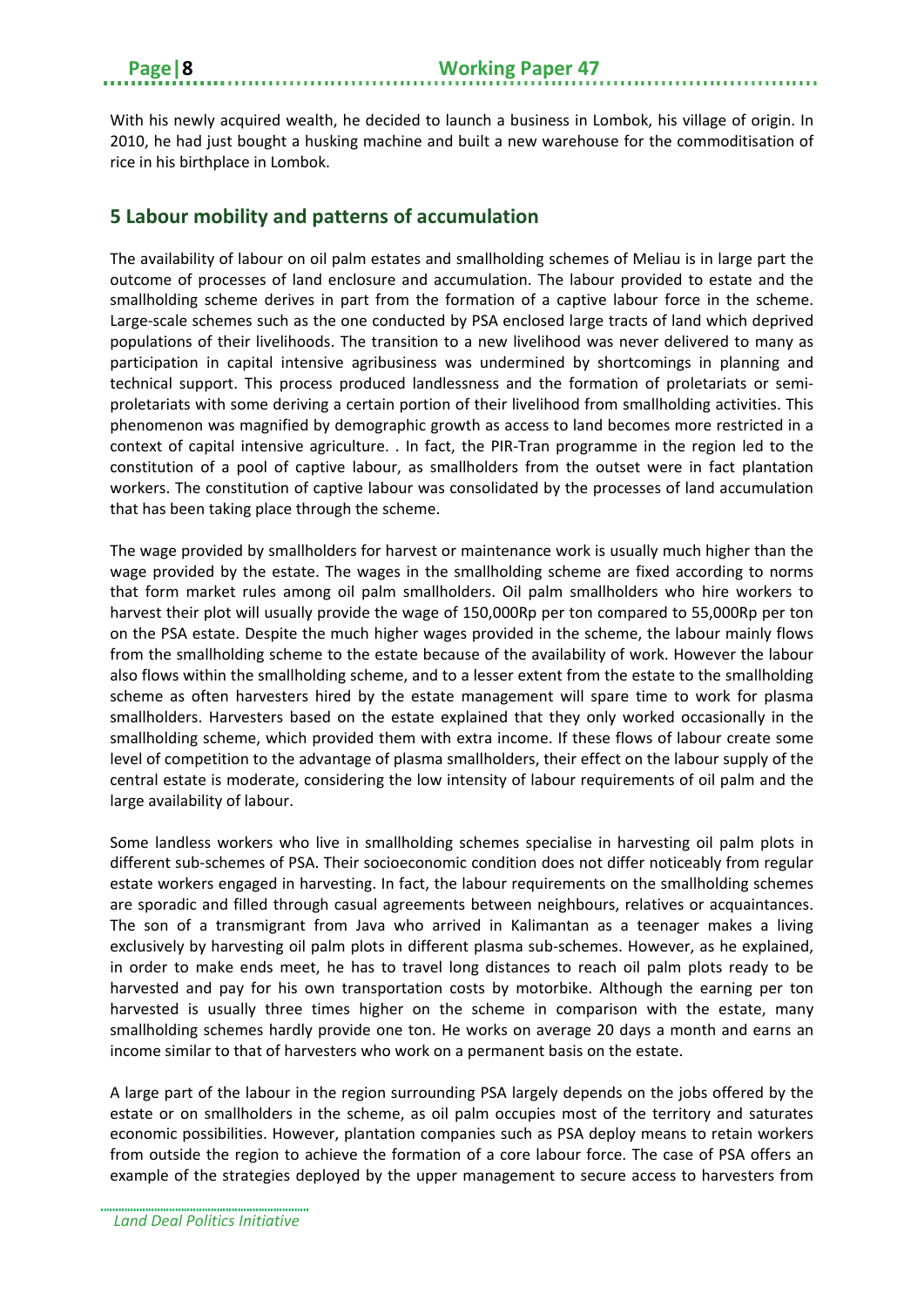With his newly acquired wealth, he decided to launch a business in Lombok, his village of origin. In 2010, he had just bought a husking machine and built a new warehouse for the commoditisation of rice in his birthplace in Lombok.

## <span id="page-11-0"></span>**5 Labour mobility and patterns of accumulation**

The availability of labour on oil palm estates and smallholding schemes of Meliau is in large part the outcome of processes of land enclosure and accumulation. The labour provided to estate and the smallholding scheme derives in part from the formation of a captive labour force in the scheme. Large-scale schemes such as the one conducted by PSA enclosed large tracts of land which deprived populations of their livelihoods. The transition to a new livelihood was never delivered to many as participation in capital intensive agribusiness was undermined by shortcomings in planning and technical support. This process produced landlessness and the formation of proletariats or semiproletariats with some deriving a certain portion of their livelihood from smallholding activities. This phenomenon was magnified by demographic growth as access to land becomes more restricted in a context of capital intensive agriculture. . In fact, the PIR-Tran programme in the region led to the constitution of a pool of captive labour, as smallholders from the outset were in fact plantation workers. The constitution of captive labour was consolidated by the processes of land accumulation that has been taking place through the scheme.

The wage provided by smallholders for harvest or maintenance work is usually much higher than the wage provided by the estate. The wages in the smallholding scheme are fixed according to norms that form market rules among oil palm smallholders. Oil palm smallholders who hire workers to harvest their plot will usually provide the wage of 150,000Rp per ton compared to 55,000Rp per ton on the PSA estate. Despite the much higher wages provided in the scheme, the labour mainly flows from the smallholding scheme to the estate because of the availability of work. However the labour also flows within the smallholding scheme, and to a lesser extent from the estate to the smallholding scheme as often harvesters hired by the estate management will spare time to work for plasma smallholders. Harvesters based on the estate explained that they only worked occasionally in the smallholding scheme, which provided them with extra income. If these flows of labour create some level of competition to the advantage of plasma smallholders, their effect on the labour supply of the central estate is moderate, considering the low intensity of labour requirements of oil palm and the large availability of labour.

Some landless workers who live in smallholding schemes specialise in harvesting oil palm plots in different sub-schemes of PSA. Their socioeconomic condition does not differ noticeably from regular estate workers engaged in harvesting. In fact, the labour requirements on the smallholding schemes are sporadic and filled through casual agreements between neighbours, relatives or acquaintances. The son of a transmigrant from Java who arrived in Kalimantan as a teenager makes a living exclusively by harvesting oil palm plots in different plasma sub-schemes. However, as he explained, in order to make ends meet, he has to travel long distances to reach oil palm plots ready to be harvested and pay for his own transportation costs by motorbike. Although the earning per ton harvested is usually three times higher on the scheme in comparison with the estate, many smallholding schemes hardly provide one ton. He works on average 20 days a month and earns an income similar to that of harvesters who work on a permanent basis on the estate.

A large part of the labour in the region surrounding PSA largely depends on the jobs offered by the estate or on smallholders in the scheme, as oil palm occupies most of the territory and saturates economic possibilities. However, plantation companies such as PSA deploy means to retain workers from outside the region to achieve the formation of a core labour force. The case of PSA offers an example of the strategies deployed by the upper management to secure access to harvesters from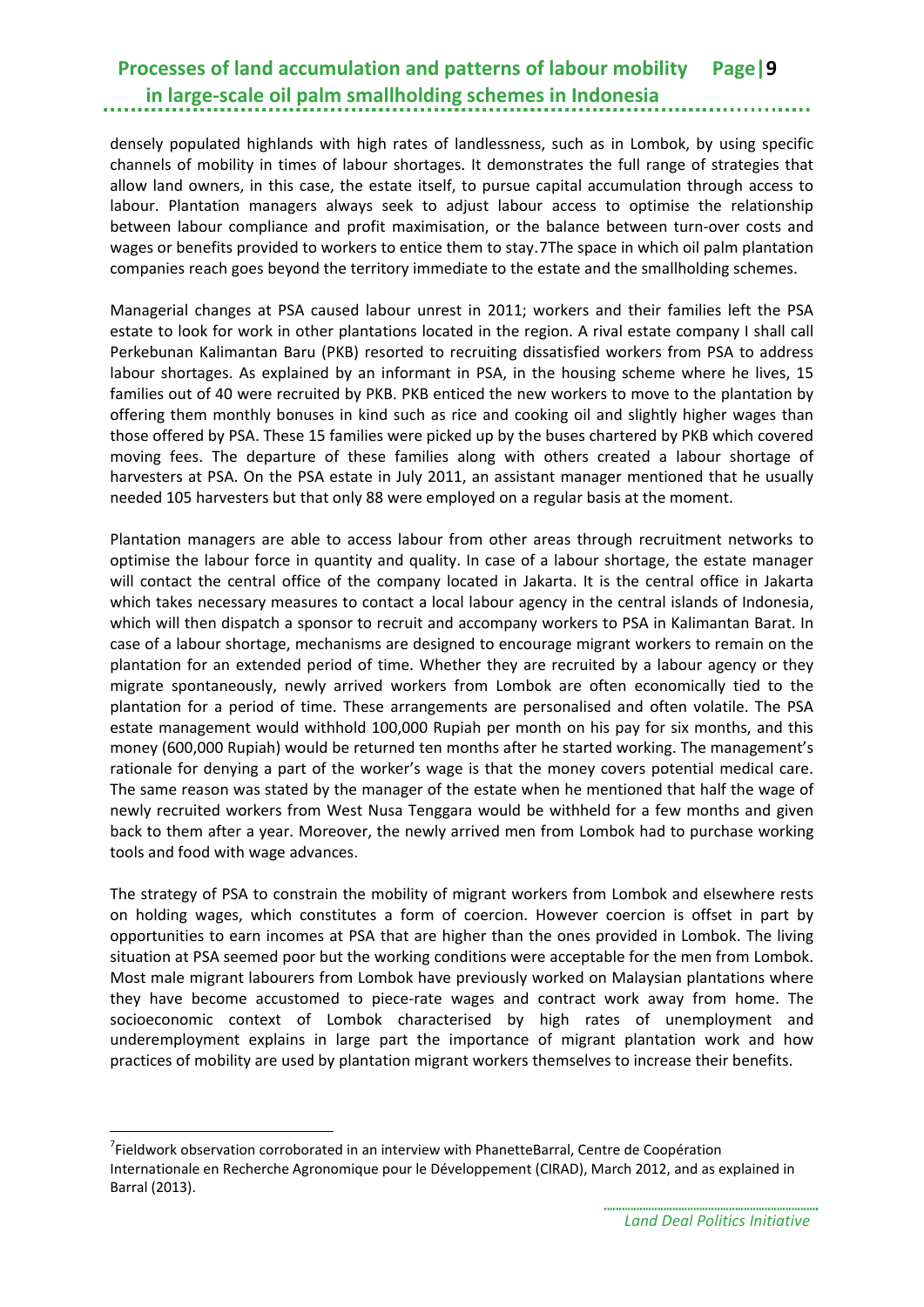densely populated highlands with high rates of landlessness, such as in Lombok, by using specific channels of mobility in times of labour shortages. It demonstrates the full range of strategies that allow land owners, in this case, the estate itself, to pursue capital accumulation through access to labour. Plantation managers always seek to adjust labour access to optimise the relationship between labour compliance and profit maximisation, or the balance between turn-over costs and wages or benefits provided to workers to entice them to stay.[7](#page-12-0)The space in which oil palm plantation companies reach goes beyond the territory immediate to the estate and the smallholding schemes.

Managerial changes at PSA caused labour unrest in 2011; workers and their families left the PSA estate to look for work in other plantations located in the region. A rival estate company I shall call Perkebunan Kalimantan Baru (PKB) resorted to recruiting dissatisfied workers from PSA to address labour shortages. As explained by an informant in PSA, in the housing scheme where he lives, 15 families out of 40 were recruited by PKB. PKB enticed the new workers to move to the plantation by offering them monthly bonuses in kind such as rice and cooking oil and slightly higher wages than those offered by PSA. These 15 families were picked up by the buses chartered by PKB which covered moving fees. The departure of these families along with others created a labour shortage of harvesters at PSA. On the PSA estate in July 2011, an assistant manager mentioned that he usually needed 105 harvesters but that only 88 were employed on a regular basis at the moment.

Plantation managers are able to access labour from other areas through recruitment networks to optimise the labour force in quantity and quality. In case of a labour shortage, the estate manager will contact the central office of the company located in Jakarta. It is the central office in Jakarta which takes necessary measures to contact a local labour agency in the central islands of Indonesia, which will then dispatch a sponsor to recruit and accompany workers to PSA in Kalimantan Barat. In case of a labour shortage, mechanisms are designed to encourage migrant workers to remain on the plantation for an extended period of time. Whether they are recruited by a labour agency or they migrate spontaneously, newly arrived workers from Lombok are often economically tied to the plantation for a period of time. These arrangements are personalised and often volatile. The PSA estate management would withhold 100,000 Rupiah per month on his pay for six months, and this money (600,000 Rupiah) would be returned ten months after he started working. The management's rationale for denying a part of the worker's wage is that the money covers potential medical care. The same reason was stated by the manager of the estate when he mentioned that half the wage of newly recruited workers from West Nusa Tenggara would be withheld for a few months and given back to them after a year. Moreover, the newly arrived men from Lombok had to purchase working tools and food with wage advances.

The strategy of PSA to constrain the mobility of migrant workers from Lombok and elsewhere rests on holding wages, which constitutes a form of coercion. However coercion is offset in part by opportunities to earn incomes at PSA that are higher than the ones provided in Lombok. The living situation at PSA seemed poor but the working conditions were acceptable for the men from Lombok. Most male migrant labourers from Lombok have previously worked on Malaysian plantations where they have become accustomed to piece-rate wages and contract work away from home. The socioeconomic context of Lombok characterised by high rates of unemployment and underemployment explains in large part the importance of migrant plantation work and how practices of mobility are used by plantation migrant workers themselves to increase their benefits.

-

<span id="page-12-0"></span><sup>&</sup>lt;sup>7</sup>Fieldwork observation corroborated in an interview with PhanetteBarral, Centre de Coopération Internationale en Recherche Agronomique pour le Développement (CIRAD), March 2012, and as explained in Barral (2013).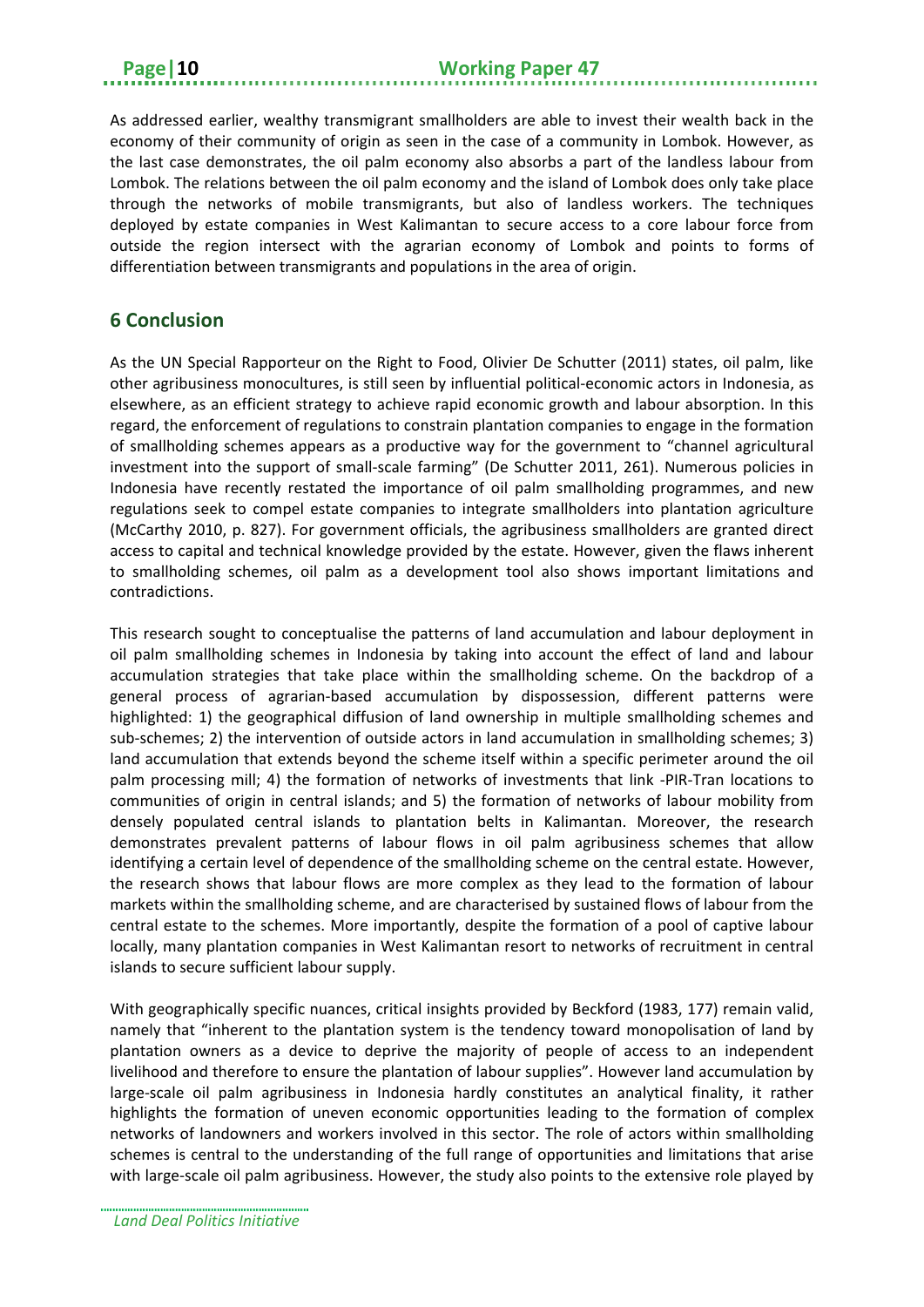As addressed earlier, wealthy transmigrant smallholders are able to invest their wealth back in the economy of their community of origin as seen in the case of a community in Lombok. However, as the last case demonstrates, the oil palm economy also absorbs a part of the landless labour from Lombok. The relations between the oil palm economy and the island of Lombok does only take place through the networks of mobile transmigrants, but also of landless workers. The techniques deployed by estate companies in West Kalimantan to secure access to a core labour force from outside the region intersect with the agrarian economy of Lombok and points to forms of differentiation between transmigrants and populations in the area of origin.

## <span id="page-13-0"></span>**6 Conclusion**

As the UN Special Rapporteur on the Right to Food, Olivier De Schutter (2011) states, oil palm, like other agribusiness monocultures, is still seen by influential political-economic actors in Indonesia, as elsewhere, as an efficient strategy to achieve rapid economic growth and labour absorption. In this regard, the enforcement of regulations to constrain plantation companies to engage in the formation of smallholding schemes appears as a productive way for the government to "channel agricultural investment into the support of small-scale farming" (De Schutter 2011, 261). Numerous policies in Indonesia have recently restated the importance of oil palm smallholding programmes, and new regulations seek to compel estate companies to integrate smallholders into plantation agriculture (McCarthy 2010, p. 827). For government officials, the agribusiness smallholders are granted direct access to capital and technical knowledge provided by the estate. However, given the flaws inherent to smallholding schemes, oil palm as a development tool also shows important limitations and contradictions.

This research sought to conceptualise the patterns of land accumulation and labour deployment in oil palm smallholding schemes in Indonesia by taking into account the effect of land and labour accumulation strategies that take place within the smallholding scheme. On the backdrop of a general process of agrarian-based accumulation by dispossession, different patterns were highlighted: 1) the geographical diffusion of land ownership in multiple smallholding schemes and sub-schemes; 2) the intervention of outside actors in land accumulation in smallholding schemes; 3) land accumulation that extends beyond the scheme itself within a specific perimeter around the oil palm processing mill; 4) the formation of networks of investments that link -PIR-Tran locations to communities of origin in central islands; and 5) the formation of networks of labour mobility from densely populated central islands to plantation belts in Kalimantan. Moreover, the research demonstrates prevalent patterns of labour flows in oil palm agribusiness schemes that allow identifying a certain level of dependence of the smallholding scheme on the central estate. However, the research shows that labour flows are more complex as they lead to the formation of labour markets within the smallholding scheme, and are characterised by sustained flows of labour from the central estate to the schemes. More importantly, despite the formation of a pool of captive labour locally, many plantation companies in West Kalimantan resort to networks of recruitment in central islands to secure sufficient labour supply.

With geographically specific nuances, critical insights provided by Beckford (1983, 177) remain valid, namely that "inherent to the plantation system is the tendency toward monopolisation of land by plantation owners as a device to deprive the majority of people of access to an independent livelihood and therefore to ensure the plantation of labour supplies". However land accumulation by large-scale oil palm agribusiness in Indonesia hardly constitutes an analytical finality, it rather highlights the formation of uneven economic opportunities leading to the formation of complex networks of landowners and workers involved in this sector. The role of actors within smallholding schemes is central to the understanding of the full range of opportunities and limitations that arise with large-scale oil palm agribusiness. However, the study also points to the extensive role played by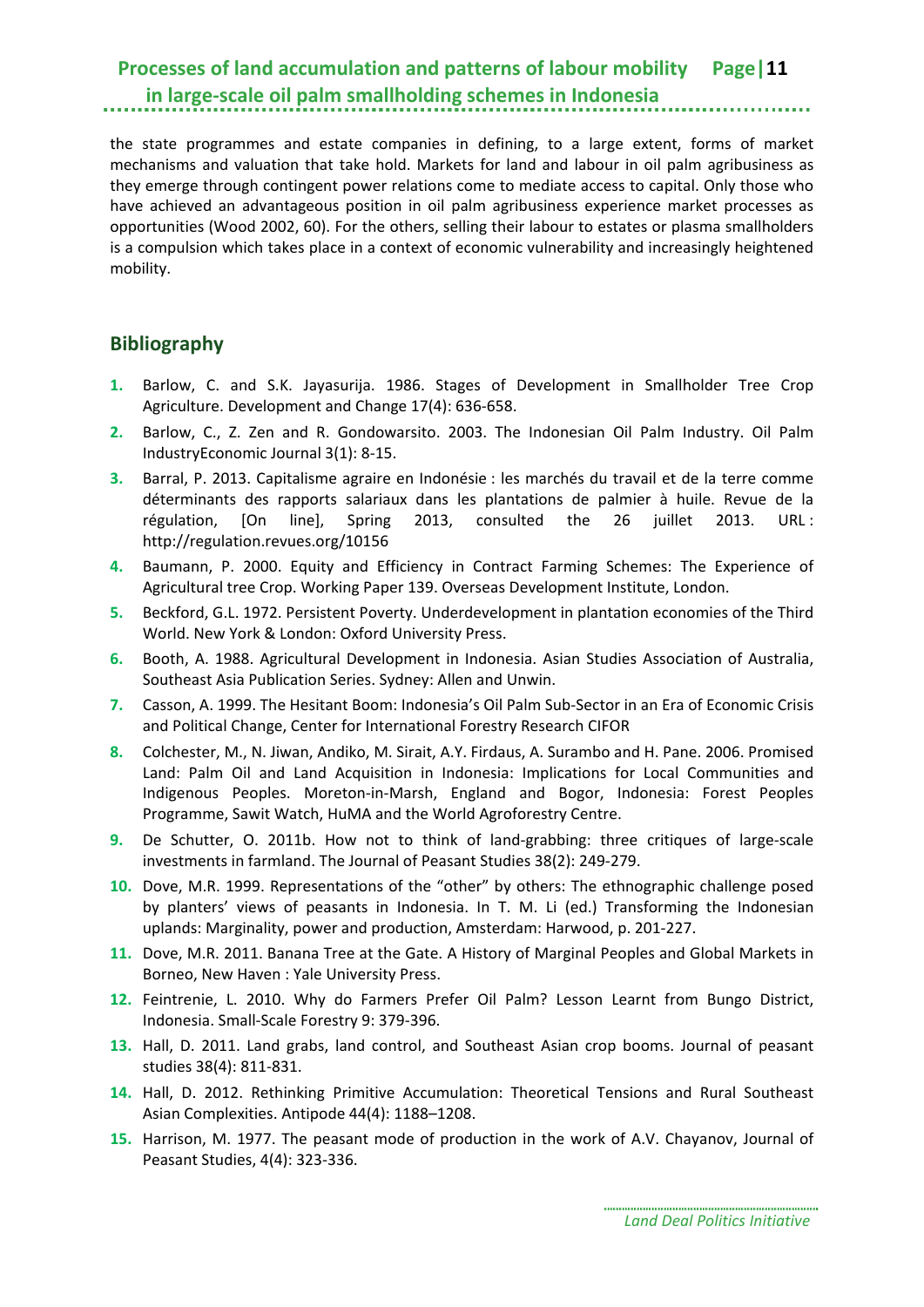the state programmes and estate companies in defining, to a large extent, forms of market mechanisms and valuation that take hold. Markets for land and labour in oil palm agribusiness as they emerge through contingent power relations come to mediate access to capital. Only those who have achieved an advantageous position in oil palm agribusiness experience market processes as opportunities (Wood 2002, 60). For the others, selling their labour to estates or plasma smallholders is a compulsion which takes place in a context of economic vulnerability and increasingly heightened mobility.

## <span id="page-14-0"></span>**Bibliography**

- **1.** Barlow, C. and S.K. Jayasurija. 1986. Stages of Development in Smallholder Tree Crop Agriculture. Development and Change 17(4): 636-658.
- **2.** Barlow, C., Z. Zen and R. Gondowarsito. 2003. The Indonesian Oil Palm Industry. Oil Palm IndustryEconomic Journal 3(1): 8-15.
- **3.** Barral, P. 2013. Capitalisme agraire en Indonésie : les marchés du travail et de la terre comme déterminants des rapports salariaux dans les plantations de palmier à huile. Revue de la régulation, [On line], Spring 2013, consulted the 26 juillet 2013. URL : http://regulation.revues.org/10156
- **4.** Baumann, P. 2000. Equity and Efficiency in Contract Farming Schemes: The Experience of Agricultural tree Crop. Working Paper 139. Overseas Development Institute, London.
- **5.** Beckford, G.L. 1972. Persistent Poverty. Underdevelopment in plantation economies of the Third World. New York & London: Oxford University Press.
- **6.** Booth, A. 1988. Agricultural Development in Indonesia. Asian Studies Association of Australia, Southeast Asia Publication Series. Sydney: Allen and Unwin.
- **7.** Casson, A. 1999. The Hesitant Boom: Indonesia's Oil Palm Sub-Sector in an Era of Economic Crisis and Political Change, Center for International Forestry Research CIFOR
- **8.** Colchester, M., N. Jiwan, Andiko, M. Sirait, A.Y. Firdaus, A. Surambo and H. Pane. 2006. Promised Land: Palm Oil and Land Acquisition in Indonesia: Implications for Local Communities and Indigenous Peoples. Moreton-in-Marsh, England and Bogor, Indonesia: Forest Peoples Programme, Sawit Watch, HuMA and the World Agroforestry Centre.
- **9.** De Schutter, O. 2011b. How not to think of land-grabbing: three critiques of large-scale investments in farmland. The Journal of Peasant Studies 38(2): 249-279.
- **10.** Dove, M.R. 1999. Representations of the "other" by others: The ethnographic challenge posed by planters' views of peasants in Indonesia. In T. M. Li (ed.) Transforming the Indonesian uplands: Marginality, power and production, Amsterdam: Harwood, p. 201-227.
- **11.** Dove, M.R. 2011. Banana Tree at the Gate. A History of Marginal Peoples and Global Markets in Borneo, New Haven : Yale University Press.
- **12.** Feintrenie, L. 2010. Why do Farmers Prefer Oil Palm? Lesson Learnt from Bungo District, Indonesia. Small-Scale Forestry 9: 379-396.
- **13.** Hall, D. 2011. Land grabs, land control, and Southeast Asian crop booms. Journal of peasant studies 38(4): 811-831.
- **14.** Hall, D. 2012. Rethinking Primitive Accumulation: Theoretical Tensions and Rural Southeast Asian Complexities. Antipode 44(4): 1188–1208.
- **15.** Harrison, M. 1977. The peasant mode of production in the work of A.V. Chayanov, Journal of Peasant Studies, 4(4): 323-336.

*Land Deal Politics Initiative*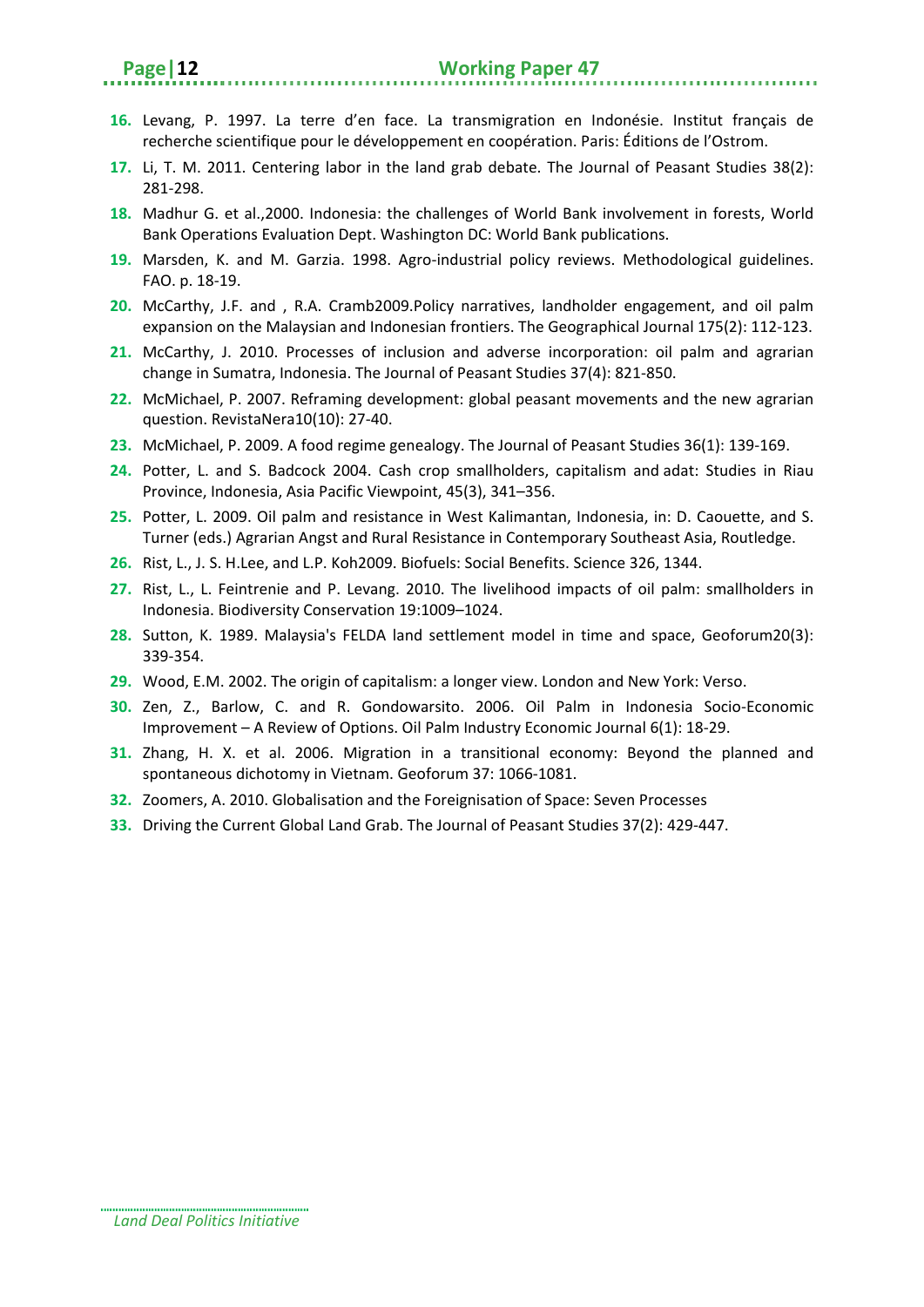- **16.** Levang, P. 1997. La terre d'en face. La transmigration en Indonésie. Institut français de recherche scientifique pour le développement en coopération. Paris: Éditions de l'Ostrom.
- **17.** Li, T. M. 2011. Centering labor in the land grab debate. The Journal of Peasant Studies 38(2): 281-298.
- **18.** Madhur G. et al.,2000. Indonesia: the challenges of World Bank involvement in forests, World Bank Operations Evaluation Dept. Washington DC: World Bank publications.
- **19.** Marsden, K. and M. Garzia. 1998. Agro-industrial policy reviews. Methodological guidelines. FAO. p. 18-19.
- **20.** McCarthy, J.F. and , R.A. Cramb2009.Policy narratives, landholder engagement, and oil palm expansion on the Malaysian and Indonesian frontiers. The Geographical Journal 175(2): 112-123.
- **21.** McCarthy, J. 2010. Processes of inclusion and adverse incorporation: oil palm and agrarian change in Sumatra, Indonesia. The Journal of Peasant Studies 37(4): 821-850.
- **22.** McMichael, P. 2007. Reframing development: global peasant movements and the new agrarian question. RevistaNera10(10): 27-40.
- **23.** McMichael, P. 2009. A food regime genealogy. The Journal of Peasant Studies 36(1): 139-169.
- **24.** Potter, L. and S. Badcock 2004. Cash crop smallholders, capitalism and adat: Studies in Riau Province, Indonesia, Asia Pacific Viewpoint, 45(3), 341–356.
- **25.** Potter, L. 2009. Oil palm and resistance in West Kalimantan, Indonesia, in: D. Caouette, and S. Turner (eds.) Agrarian Angst and Rural Resistance in Contemporary Southeast Asia, Routledge.
- **26.** Rist, L., J. S. H.Lee, and L.P. Koh2009. Biofuels: Social Benefits. Science 326, 1344.
- **27.** Rist, L., L. Feintrenie and P. Levang. 2010. The livelihood impacts of oil palm: smallholders in Indonesia. Biodiversity Conservation 19:1009–1024.
- **28.** Sutton, K. 1989. Malaysia's FELDA land settlement model in time and space, Geoforum20(3): 339-354.
- **29.** Wood, E.M. 2002. The origin of capitalism: a longer view. London and New York: Verso.
- **30.** Zen, Z., Barlow, C. and R. Gondowarsito. 2006. Oil Palm in Indonesia Socio-Economic Improvement – A Review of Options. Oil Palm Industry Economic Journal 6(1): 18-29.
- **31.** Zhang, H. X. et al. 2006. Migration in a transitional economy: Beyond the planned and spontaneous dichotomy in Vietnam. Geoforum 37: 1066-1081.
- **32.** Zoomers, A. 2010. Globalisation and the Foreignisation of Space: Seven Processes
- **33.** Driving the Current Global Land Grab. The Journal of Peasant Studies 37(2): 429-447.